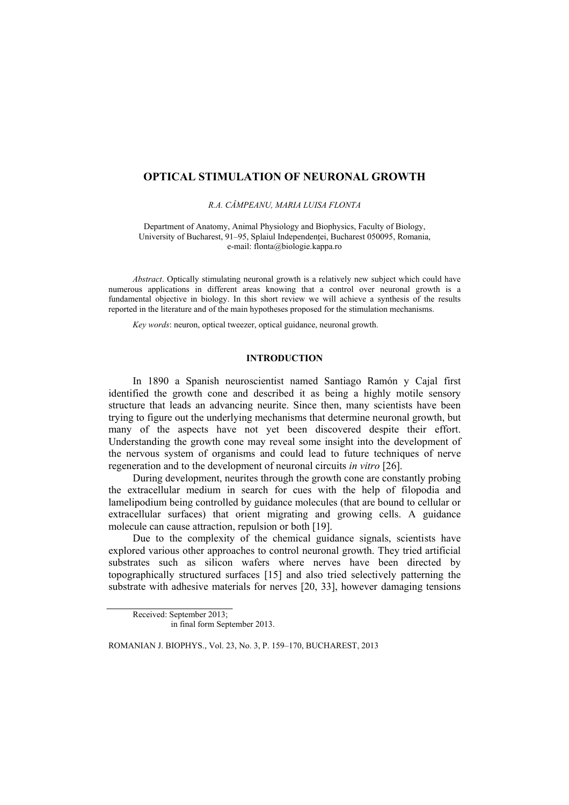# **OPTICAL STIMULATION OF NEURONAL GROWTH**

*R.A. CÂMPEANU, MARIA LUISA FLONTA*

Department of Anatomy, Animal Physiology and Biophysics, Faculty of Biology, University of Bucharest, 91–95, Splaiul Independenței, Bucharest 050095, Romania, e-mail: flonta@biologie.kappa.ro

*Abstract*. Optically stimulating neuronal growth is a relatively new subject which could have numerous applications in different areas knowing that a control over neuronal growth is a fundamental objective in biology. In this short review we will achieve a synthesis of the results reported in the literature and of the main hypotheses proposed for the stimulation mechanisms.

*Key words*: neuron, optical tweezer, optical guidance, neuronal growth.

## **INTRODUCTION**

In 1890 a Spanish neuroscientist named Santiago Ramón y Cajal first identified the growth cone and described it as being a highly motile sensory structure that leads an advancing neurite. Since then, many scientists have been trying to figure out the underlying mechanisms that determine neuronal growth, but many of the aspects have not yet been discovered despite their effort. Understanding the growth cone may reveal some insight into the development of the nervous system of organisms and could lead to future techniques of nerve regeneration and to the development of neuronal circuits *in vitro* [26].

During development, neurites through the growth cone are constantly probing the extracellular medium in search for cues with the help of filopodia and lamelipodium being controlled by guidance molecules (that are bound to cellular or extracellular surfaces) that orient migrating and growing cells. A guidance molecule can cause attraction, repulsion or both [19].

Due to the complexity of the chemical guidance signals, scientists have explored various other approaches to control neuronal growth. They tried artificial substrates such as silicon wafers where nerves have been directed by topographically structured surfaces [15] and also tried selectively patterning the substrate with adhesive materials for nerves [20, 33], however damaging tensions

Received: September 2013; in final form September 2013.

ROMANIAN J. BIOPHYS., Vol. 23, No. 3, P. 159–170, BUCHAREST, 2013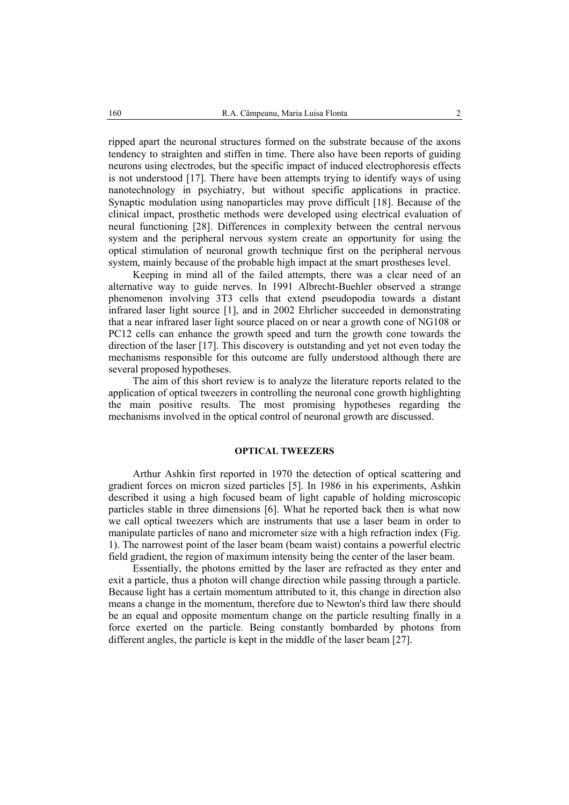ripped apart the neuronal structures formed on the substrate because of the axons tendency to straighten and stiffen in time. There also have been reports of guiding neurons using electrodes, but the specific impact of induced electrophoresis effects is not understood [17]. There have been attempts trying to identify ways of using nanotechnology in psychiatry, but without specific applications in practice. Synaptic modulation using nanoparticles may prove difficult [18]. Because of the clinical impact, prosthetic methods were developed using electrical evaluation of neural functioning [28]. Differences in complexity between the central nervous system and the peripheral nervous system create an opportunity for using the optical stimulation of neuronal growth technique first on the peripheral nervous system, mainly because of the probable high impact at the smart prostheses level.

Keeping in mind all of the failed attempts, there was a clear need of an alternative way to guide nerves. In 1991 Albrecht-Buehler observed a strange phenomenon involving 3T3 cells that extend pseudopodia towards a distant infrared laser light source [1], and in 2002 Ehrlicher succeeded in demonstrating that a near infrared laser light source placed on or near a growth cone of NG108 or PC12 cells can enhance the growth speed and turn the growth cone towards the direction of the laser [17]. This discovery is outstanding and yet not even today the mechanisms responsible for this outcome are fully understood although there are several proposed hypotheses.

The aim of this short review is to analyze the literature reports related to the application of optical tweezers in controlling the neuronal cone growth highlighting the main positive results. The most promising hypotheses regarding the mechanisms involved in the optical control of neuronal growth are discussed.

## **OPTICAL TWEEZERS**

Arthur Ashkin first reported in 1970 the detection of optical scattering and gradient forces on micron sized particles [5]. In 1986 in his experiments, Ashkin described it using a high focused beam of light capable of holding microscopic particles stable in three dimensions [6]. What he reported back then is what now we call optical tweezers which are instruments that use a laser beam in order to manipulate particles of nano and micrometer size with a high refraction index (Fig. 1). The narrowest point of the laser beam (beam waist) contains a powerful electric field gradient, the region of maximum intensity being the center of the laser beam.

Essentially, the photons emitted by the laser are refracted as they enter and exit a particle, thus a photon will change direction while passing through a particle. Because light has a certain momentum attributed to it, this change in direction also means a change in the momentum, therefore due to Newton's third law there should be an equal and opposite momentum change on the particle resulting finally in a force exerted on the particle. Being constantly bombarded by photons from different angles, the particle is kept in the middle of the laser beam [27].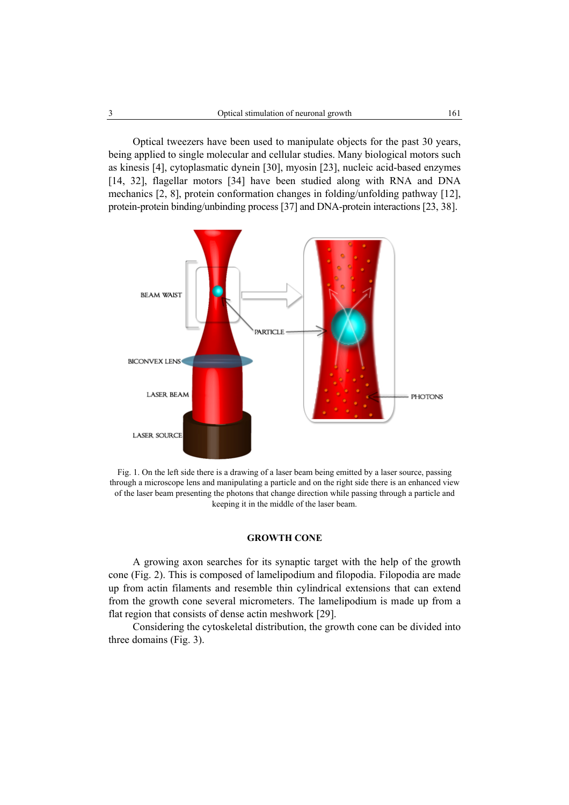Optical tweezers have been used to manipulate objects for the past 30 years, being applied to single molecular and cellular studies. Many biological motors such as kinesis [4], cytoplasmatic dynein [30], myosin [23], nucleic acid-based enzymes [14, 32], flagellar motors [34] have been studied along with RNA and DNA mechanics [2, 8], protein conformation changes in folding/unfolding pathway [12], protein-protein binding/unbinding process [37] and DNA-protein interactions [23, 38].



Fig. 1. On the left side there is a drawing of a laser beam being emitted by a laser source, passing through a microscope lens and manipulating a particle and on the right side there is an enhanced view of the laser beam presenting the photons that change direction while passing through a particle and keeping it in the middle of the laser beam.

## **GROWTH CONE**

A growing axon searches for its synaptic target with the help of the growth cone (Fig. 2). This is composed of lamelipodium and filopodia. Filopodia are made up from actin filaments and resemble thin cylindrical extensions that can extend from the growth cone several micrometers. The lamelipodium is made up from a flat region that consists of dense actin meshwork [29].

Considering the cytoskeletal distribution, the growth cone can be divided into three domains (Fig. 3).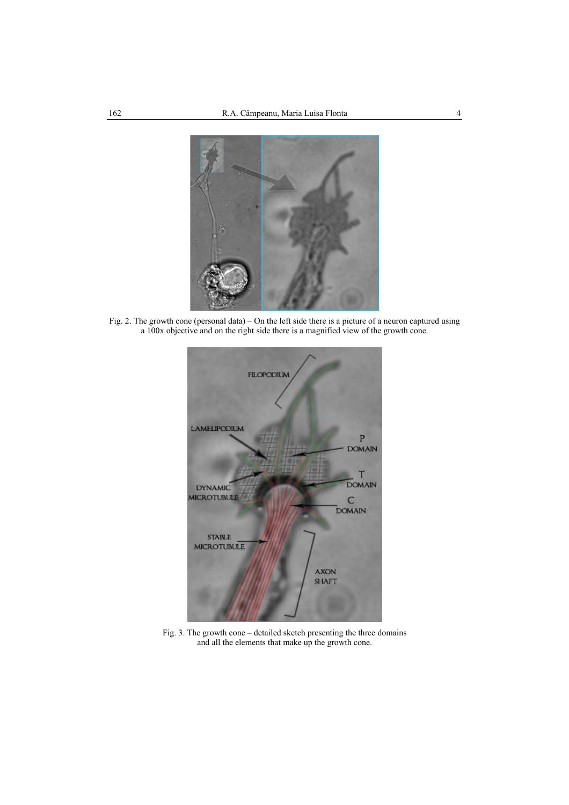

Fig. 2. The growth cone (personal data) – On the left side there is a picture of a neuron captured using a 100x objective and on the right side there is a magnified view of the growth cone.



Fig. 3. The growth cone – detailed sketch presenting the three domains and all the elements that make up the growth cone.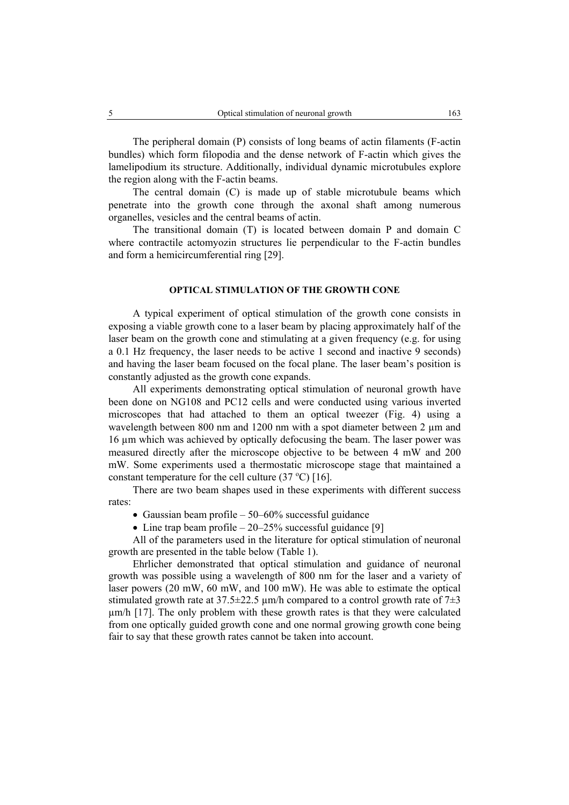The peripheral domain (P) consists of long beams of actin filaments (F-actin bundles) which form filopodia and the dense network of F-actin which gives the lamelipodium its structure. Additionally, individual dynamic microtubules explore the region along with the F-actin beams.

The central domain (C) is made up of stable microtubule beams which penetrate into the growth cone through the axonal shaft among numerous organelles, vesicles and the central beams of actin.

The transitional domain (T) is located between domain P and domain C where contractile actomyozin structures lie perpendicular to the F-actin bundles and form a hemicircumferential ring [29].

### **OPTICAL STIMULATION OF THE GROWTH CONE**

A typical experiment of optical stimulation of the growth cone consists in exposing a viable growth cone to a laser beam by placing approximately half of the laser beam on the growth cone and stimulating at a given frequency (e.g. for using a 0.1 Hz frequency, the laser needs to be active 1 second and inactive 9 seconds) and having the laser beam focused on the focal plane. The laser beam's position is constantly adjusted as the growth cone expands.

All experiments demonstrating optical stimulation of neuronal growth have been done on NG108 and PC12 cells and were conducted using various inverted microscopes that had attached to them an optical tweezer (Fig. 4) using a wavelength between 800 nm and 1200 nm with a spot diameter between 2 µm and 16 µm which was achieved by optically defocusing the beam. The laser power was measured directly after the microscope objective to be between 4 mW and 200 mW. Some experiments used a thermostatic microscope stage that maintained a constant temperature for the cell culture  $(37 °C)$  [16].

There are two beam shapes used in these experiments with different success rates:

- Gaussian beam profile  $50-60\%$  successful guidance
- Line trap beam profile  $-20-25\%$  successful guidance [9]

All of the parameters used in the literature for optical stimulation of neuronal growth are presented in the table below (Table 1).

Ehrlicher demonstrated that optical stimulation and guidance of neuronal growth was possible using a wavelength of 800 nm for the laser and a variety of laser powers (20 mW, 60 mW, and 100 mW). He was able to estimate the optical stimulated growth rate at  $37.5\pm22.5$  µm/h compared to a control growth rate of  $7\pm3$ µm/h [17]. The only problem with these growth rates is that they were calculated from one optically guided growth cone and one normal growing growth cone being fair to say that these growth rates cannot be taken into account.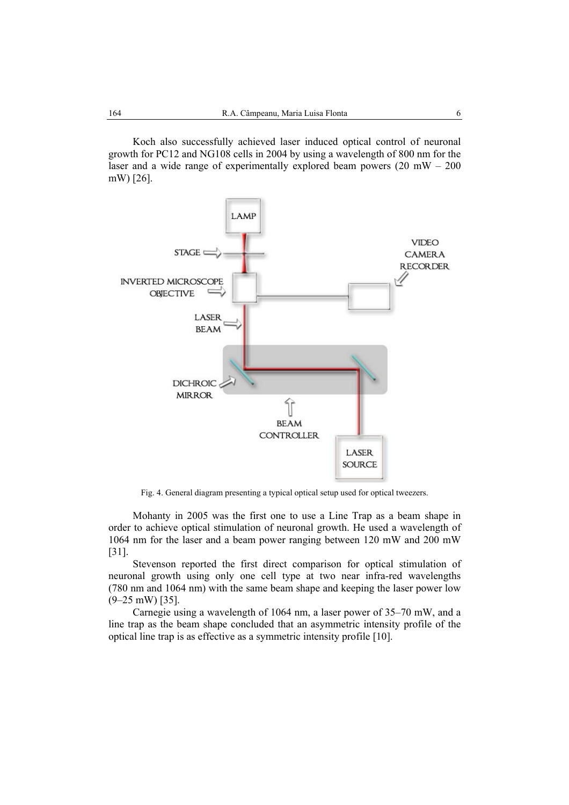Koch also successfully achieved laser induced optical control of neuronal growth for PC12 and NG108 cells in 2004 by using a wavelength of 800 nm for the laser and a wide range of experimentally explored beam powers  $(20 \text{ mW} - 200 \text{ mV})$ mW) [26].



Fig. 4. General diagram presenting a typical optical setup used for optical tweezers.

Mohanty in 2005 was the first one to use a Line Trap as a beam shape in order to achieve optical stimulation of neuronal growth. He used a wavelength of 1064 nm for the laser and a beam power ranging between 120 mW and 200 mW [31].

Stevenson reported the first direct comparison for optical stimulation of neuronal growth using only one cell type at two near infra-red wavelengths (780 nm and 1064 nm) with the same beam shape and keeping the laser power low (9–25 mW) [35].

Carnegie using a wavelength of 1064 nm, a laser power of 35–70 mW, and a line trap as the beam shape concluded that an asymmetric intensity profile of the optical line trap is as effective as a symmetric intensity profile [10].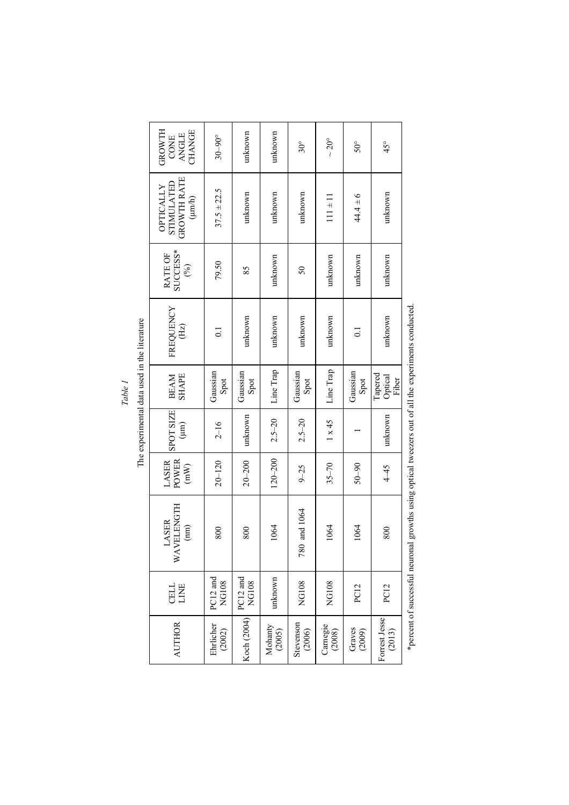| able | 己己<br>xperimental data used in the l |
|------|--------------------------------------|
|      | e<br>C                               |

| GROWTH<br>CHANGE<br><b>ANGLE</b><br>CONE                                                      | $30 - 90^{\circ}$        | unknown                  | unknown           | $30^{\circ}$        | $\sim$ 20 $^{\circ}$ | $50^{\circ}$       | $45^{\circ}$                |
|-----------------------------------------------------------------------------------------------|--------------------------|--------------------------|-------------------|---------------------|----------------------|--------------------|-----------------------------|
| <b>GROWTH RATE</b><br>STIMULATED<br>OPTICALLY<br>$(\mu m/h)$                                  | $37.5 \pm 22.5$          | unknown                  | unknown           | unknown             | $11 \pm 11$          | $44.4 \pm 6$       | unknown                     |
| SUCCESS*<br>RATE OF<br>(%)                                                                    | 79.50                    | 85                       | unknown           | 50                  | unknown              | unknown            | unknown                     |
| FREQUENCY<br>$\overline{\text{Hz}}$                                                           | $\overline{\circ}$       | unknown                  | unknown           | unknown             | unknown              | $\overline{\circ}$ | unknown                     |
| <b>SHAPE</b><br><b>BEAM</b>                                                                   | Gaussian<br>Spot         | Gaussian<br>Spot         | Line Trap         | Gaussian<br>Spot    | Line Trap            | Gaussian<br>Spot   | Tapered<br>Optical<br>Fiber |
| <b>SPOT SIZE</b><br>$\binom{m}{k}$                                                            | $2 - 16$                 | unknown                  | $2.5 - 20$        | $2.5 - 20$          | $1 \times 45$        |                    | unknown                     |
| POWER<br>LASER<br>(mW)                                                                        | $20 - 120$               | $20 - 200$               | $120 - 200$       | $9 - 25$            | $35 - 70$            | $06 - 05$          | $4 - 45$                    |
| VELENGTH<br>LASER<br>$\begin{pmatrix} \text{mm} \\ \text{mm} \end{pmatrix}$<br>$\overline{M}$ | 800                      | 800                      | 1064              | and 1064<br>780     | 1064                 | 1064               | 800                         |
| <b>CELL</b><br>LINE                                                                           | PC12 and<br><b>NG108</b> | PC12 and<br><b>NG108</b> | unknown           | <b>NG108</b>        | <b>NG108</b>         | <b>PC12</b>        | <b>PC12</b>                 |
| <b>AUTHOR</b>                                                                                 | Ehrlicher<br>(2002)      | Koch (2004)              | Mohanty<br>(2005) | Stevenson<br>(2006) | Carnegie<br>(2008)   | Graves<br>(2009)   | Forrest Jesse<br>(2013)     |

\*percent of successful neuronal growths using optical tweezers out of all the experiments conducted. \*percent of successful neuronal growths using optical tweezers out of all the experiments conducted.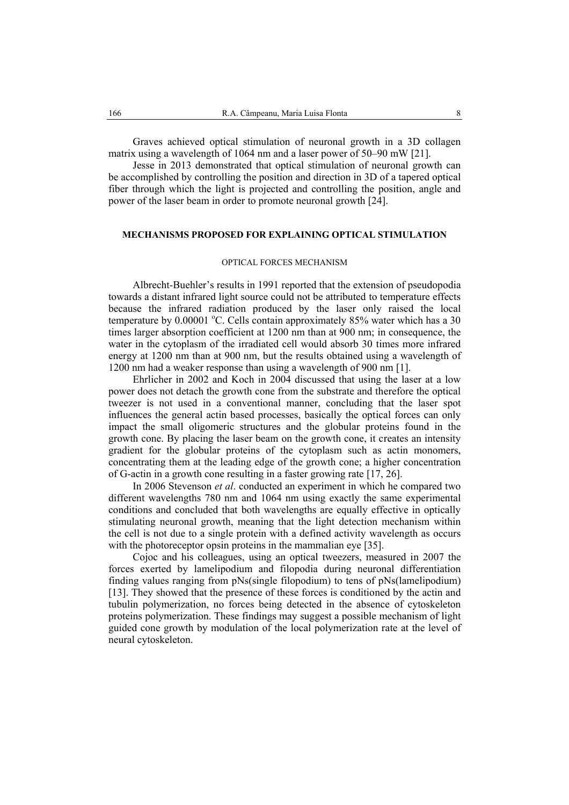Graves achieved optical stimulation of neuronal growth in a 3D collagen matrix using a wavelength of 1064 nm and a laser power of 50–90 mW [21].

Jesse in 2013 demonstrated that optical stimulation of neuronal growth can be accomplished by controlling the position and direction in 3D of a tapered optical fiber through which the light is projected and controlling the position, angle and power of the laser beam in order to promote neuronal growth [24].

# **MECHANISMS PROPOSED FOR EXPLAINING OPTICAL STIMULATION**

### OPTICAL FORCES MECHANISM

Albrecht-Buehler's results in 1991 reported that the extension of pseudopodia towards a distant infrared light source could not be attributed to temperature effects because the infrared radiation produced by the laser only raised the local temperature by  $0.00001$  °C. Cells contain approximately 85% water which has a 30 times larger absorption coefficient at 1200 nm than at 900 nm; in consequence, the water in the cytoplasm of the irradiated cell would absorb 30 times more infrared energy at 1200 nm than at 900 nm, but the results obtained using a wavelength of 1200 nm had a weaker response than using a wavelength of 900 nm [1].

Ehrlicher in 2002 and Koch in 2004 discussed that using the laser at a low power does not detach the growth cone from the substrate and therefore the optical tweezer is not used in a conventional manner, concluding that the laser spot influences the general actin based processes, basically the optical forces can only impact the small oligomeric structures and the globular proteins found in the growth cone. By placing the laser beam on the growth cone, it creates an intensity gradient for the globular proteins of the cytoplasm such as actin monomers, concentrating them at the leading edge of the growth cone; a higher concentration of G-actin in a growth cone resulting in a faster growing rate [17, 26].

In 2006 Stevenson *et al*. conducted an experiment in which he compared two different wavelengths 780 nm and 1064 nm using exactly the same experimental conditions and concluded that both wavelengths are equally effective in optically stimulating neuronal growth, meaning that the light detection mechanism within the cell is not due to a single protein with a defined activity wavelength as occurs with the photoreceptor opsin proteins in the mammalian eye [35].

Cojoc and his colleagues, using an optical tweezers, measured in 2007 the forces exerted by lamelipodium and filopodia during neuronal differentiation finding values ranging from pNs(single filopodium) to tens of pNs(lamelipodium) [13]. They showed that the presence of these forces is conditioned by the actin and tubulin polymerization, no forces being detected in the absence of cytoskeleton proteins polymerization. These findings may suggest a possible mechanism of light guided cone growth by modulation of the local polymerization rate at the level of neural cytoskeleton.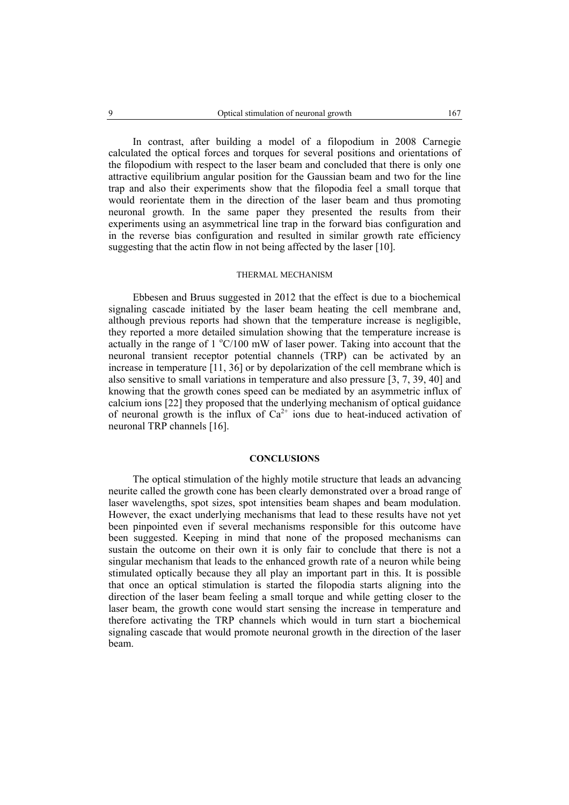In contrast, after building a model of a filopodium in 2008 Carnegie calculated the optical forces and torques for several positions and orientations of the filopodium with respect to the laser beam and concluded that there is only one attractive equilibrium angular position for the Gaussian beam and two for the line trap and also their experiments show that the filopodia feel a small torque that would reorientate them in the direction of the laser beam and thus promoting neuronal growth. In the same paper they presented the results from their experiments using an asymmetrical line trap in the forward bias configuration and in the reverse bias configuration and resulted in similar growth rate efficiency suggesting that the actin flow in not being affected by the laser [10].

#### THERMAL MECHANISM

Ebbesen and Bruus suggested in 2012 that the effect is due to a biochemical signaling cascade initiated by the laser beam heating the cell membrane and, although previous reports had shown that the temperature increase is negligible, they reported a more detailed simulation showing that the temperature increase is actually in the range of  $1 \degree C/100$  mW of laser power. Taking into account that the neuronal transient receptor potential channels (TRP) can be activated by an increase in temperature [11, 36] or by depolarization of the cell membrane which is also sensitive to small variations in temperature and also pressure [3, 7, 39, 40] and knowing that the growth cones speed can be mediated by an asymmetric influx of calcium ions [22] they proposed that the underlying mechanism of optical guidance of neuronal growth is the influx of  $Ca^{2+}$  ions due to heat-induced activation of neuronal TRP channels [16].

### **CONCLUSIONS**

The optical stimulation of the highly motile structure that leads an advancing neurite called the growth cone has been clearly demonstrated over a broad range of laser wavelengths, spot sizes, spot intensities beam shapes and beam modulation. However, the exact underlying mechanisms that lead to these results have not yet been pinpointed even if several mechanisms responsible for this outcome have been suggested. Keeping in mind that none of the proposed mechanisms can sustain the outcome on their own it is only fair to conclude that there is not a singular mechanism that leads to the enhanced growth rate of a neuron while being stimulated optically because they all play an important part in this. It is possible that once an optical stimulation is started the filopodia starts aligning into the direction of the laser beam feeling a small torque and while getting closer to the laser beam, the growth cone would start sensing the increase in temperature and therefore activating the TRP channels which would in turn start a biochemical signaling cascade that would promote neuronal growth in the direction of the laser beam.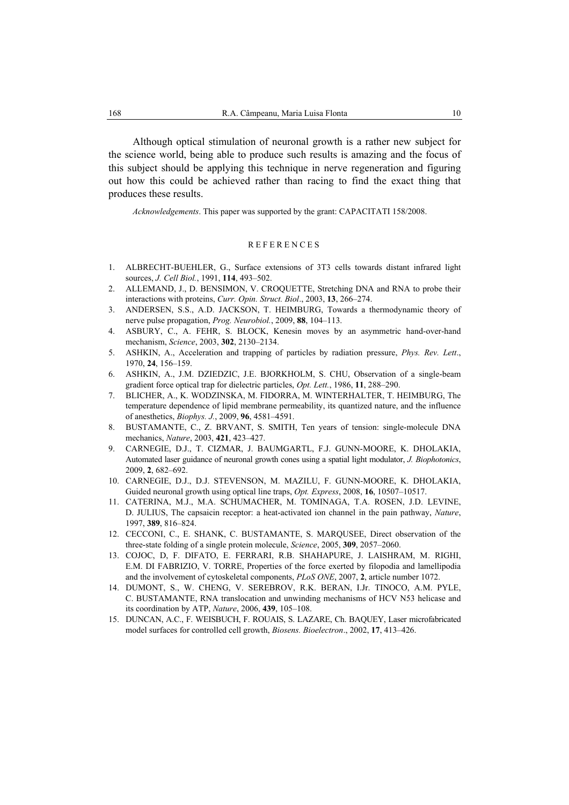Although optical stimulation of neuronal growth is a rather new subject for the science world, being able to produce such results is amazing and the focus of this subject should be applying this technique in nerve regeneration and figuring out how this could be achieved rather than racing to find the exact thing that produces these results.

*Acknowledgements*. This paper was supported by the grant: CAPACITATI 158/2008.

## **REFERENCES**

- 1. ALBRECHT-BUEHLER, G., Surface extensions of 3T3 cells towards distant infrared light sources, *J. Cell Biol.*, 1991, **114**, 493–502.
- 2. ALLEMAND, J., D. BENSIMON, V. CROQUETTE, Stretching DNA and RNA to probe their interactions with proteins, *Curr. Opin. Struct. Biol*., 2003, **13**, 266–274.
- 3. ANDERSEN, S.S., A.D. JACKSON, T. HEIMBURG, Towards a thermodynamic theory of nerve pulse propagation, *Prog. Neurobiol.*, 2009, **88**, 104–113.
- 4. ASBURY, C., A. FEHR, S. BLOCK, Kenesin moves by an asymmetric hand-over-hand mechanism, *Science*, 2003, **302**, 2130–2134.
- 5. ASHKIN, A., Acceleration and trapping of particles by radiation pressure, *Phys. Rev. Lett*., 1970, **24**, 156–159.
- 6. ASHKIN, A., J.M. DZIEDZIC, J.E. BJORKHOLM, S. CHU, Observation of a single-beam gradient force optical trap for dielectric particles, *Opt. Lett.*, 1986, **11**, 288–290.
- 7. BLICHER, A., K. WODZINSKA, M. FIDORRA, M. WINTERHALTER, T. HEIMBURG, The temperature dependence of lipid membrane permeability, its quantized nature, and the influence of anesthetics, *Biophys. J.*, 2009, **96**, 4581–4591.
- 8. BUSTAMANTE, C., Z. BRVANT, S. SMITH, Ten years of tension: single-molecule DNA mechanics, *Nature*, 2003, **421**, 423–427.
- 9. CARNEGIE, D.J., T. CIZMAR, J. BAUMGARTL, F.J. GUNN-MOORE, K. DHOLAKIA, Automated laser guidance of neuronal growth cones using a spatial light modulator, *J. Biophotonics*, 2009, **2**, 682–692.
- 10. CARNEGIE, D.J., D.J. STEVENSON, M. MAZILU, F. GUNN-MOORE, K. DHOLAKIA, Guided neuronal growth using optical line traps, *Opt. Express*, 2008, **16**, 10507–10517.
- 11. CATERINA, M.J., M.A. SCHUMACHER, M. TOMINAGA, T.A. ROSEN, J.D. LEVINE, D. JULIUS, The capsaicin receptor: a heat-activated ion channel in the pain pathway, *Nature*, 1997, **389**, 816–824.
- 12. CECCONI, C., E. SHANK, C. BUSTAMANTE, S. MARQUSEE, Direct observation of the three-state folding of a single protein molecule, *Science*, 2005, **309**, 2057–2060.
- 13. COJOC, D, F. DIFATO, E. FERRARI, R.B. SHAHAPURE, J. LAISHRAM, M. RIGHI, E.M. DI FABRIZIO, V. TORRE, Properties of the force exerted by filopodia and lamellipodia and the involvement of cytoskeletal components, *PLoS ONE*, 2007, **2**, article number 1072.
- 14. DUMONT, S., W. CHENG, V. SEREBROV, R.K. BERAN, I.Jr. TINOCO, A.M. PYLE, C. BUSTAMANTE, RNA translocation and unwinding mechanisms of HCV N53 helicase and its coordination by ATP, *Nature*, 2006, **439**, 105–108.
- 15. DUNCAN, A.C., F. WEISBUCH, F. ROUAIS, S. LAZARE, Ch. BAQUEY, Laser microfabricated model surfaces for controlled cell growth, *Biosens. Bioelectron*., 2002, **17**, 413–426.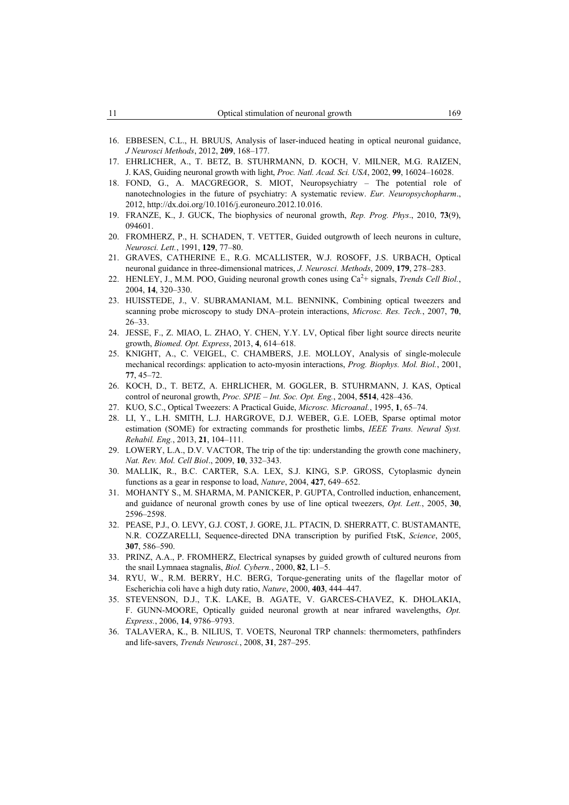- 16. EBBESEN, C.L., H. BRUUS, Analysis of laser-induced heating in optical neuronal guidance, *J Neurosci Methods*, 2012, **209**, 168–177.
- 17. EHRLICHER, A., T. BETZ, B. STUHRMANN, D. KOCH, V. MILNER, M.G. RAIZEN, J. KAS, Guiding neuronal growth with light, *Proc. Natl. Acad. Sci. USA*, 2002, **99**, 16024–16028.
- 18. FOND, G., A. MACGREGOR, S. MIOT, Neuropsychiatry The potential role of nanotechnologies in the future of psychiatry: A systematic review. *Eur. Neuropsychopharm*., 2012, http://dx.doi.org/10.1016/j.euroneuro.2012.10.016.
- 19. FRANZE, K., J. GUCK, The biophysics of neuronal growth, *Rep. Prog. Phys*., 2010, **73**(9), 094601.
- 20. FROMHERZ, P., H. SCHADEN, T. VETTER, Guided outgrowth of leech neurons in culture, *Neurosci. Lett.*, 1991, **129**, 77–80.
- 21. GRAVES, CATHERINE E., R.G. MCALLISTER, W.J. ROSOFF, J.S. URBACH, Optical neuronal guidance in three-dimensional matrices, *J. Neurosci. Methods*, 2009, **179**, 278–283.
- 22. HENLEY, J., M.M. POO, Guiding neuronal growth cones using  $Ca<sup>2</sup>$ + signals, *Trends Cell Biol.*, 2004, **14**, 320–330.
- 23. HUISSTEDE, J., V. SUBRAMANIAM, M.L. BENNINK, Combining optical tweezers and scanning probe microscopy to study DNA–protein interactions, *Microsc. Res. Tech.*, 2007, **70**, 26–33.
- 24. JESSE, F., Z. MIAO, L. ZHAO, Y. CHEN, Y.Y. LV, Optical fiber light source directs neurite growth, *Biomed. Opt. Express*, 2013, **4**, 614–618.
- 25. KNIGHT, A., C. VEIGEL, C. CHAMBERS, J.E. MOLLOY, Analysis of single-molecule mechanical recordings: application to acto-myosin interactions, *Prog. Biophys. Mol. Biol.*, 2001, **77**, 45–72.
- 26. KOCH, D., T. BETZ, A. EHRLICHER, M. GOGLER, B. STUHRMANN, J. KAS, Optical control of neuronal growth, *Proc. SPIE – Int. Soc. Opt. Eng.*, 2004, **5514**, 428–436.
- 27. KUO, S.C., Optical Tweezers: A Practical Guide, *Microsc. Microanal.*, 1995, **1**, 65–74.
- 28. LI, Y., L.H. SMITH, L.J. HARGROVE, D.J. WEBER, G.E. LOEB, Sparse optimal motor estimation (SOME) for extracting commands for prosthetic limbs, *IEEE Trans. Neural Syst. Rehabil. Eng.*, 2013, **21**, 104–111.
- 29. LOWERY, L.A., D.V. VACTOR, The trip of the tip: understanding the growth cone machinery, *Nat. Rev. Mol. Cell Biol*., 2009, **10**, 332–343.
- 30. MALLIK, R., B.C. CARTER, S.A. LEX, S.J. KING, S.P. GROSS, Cytoplasmic dynein functions as a gear in response to load, *Nature*, 2004, **427**, 649–652.
- 31. MOHANTY S., M. SHARMA, M. PANICKER, P. GUPTA, Controlled induction, enhancement, and guidance of neuronal growth cones by use of line optical tweezers, *Opt. Lett.*, 2005, **30**, 2596–2598.
- 32. PEASE, P.J., O. LEVY, G.J. COST, J. GORE, J.L. PTACIN, D. SHERRATT, C. BUSTAMANTE, N.R. COZZARELLI, Sequence-directed DNA transcription by purified FtsK, *Science*, 2005, **307**, 586–590.
- 33. PRINZ, A.A., P. FROMHERZ, Electrical synapses by guided growth of cultured neurons from the snail Lymnaea stagnalis, *Biol. Cybern.*, 2000, **82**, L1–5.
- 34. RYU, W., R.M. BERRY, H.C. BERG, Torque-generating units of the flagellar motor of Escherichia coli have a high duty ratio, *Nature*, 2000, **403**, 444–447.
- 35. STEVENSON, D.J., T.K. LAKE, B. AGATE, V. GARCES-CHAVEZ, K. DHOLAKIA, F. GUNN-MOORE, Optically guided neuronal growth at near infrared wavelengths, *Opt. Express.*, 2006, **14**, 9786–9793.
- 36. TALAVERA, K., B. NILIUS, T. VOETS, Neuronal TRP channels: thermometers, pathfinders and life-savers, *Trends Neurosci.*, 2008, **31**, 287–295.